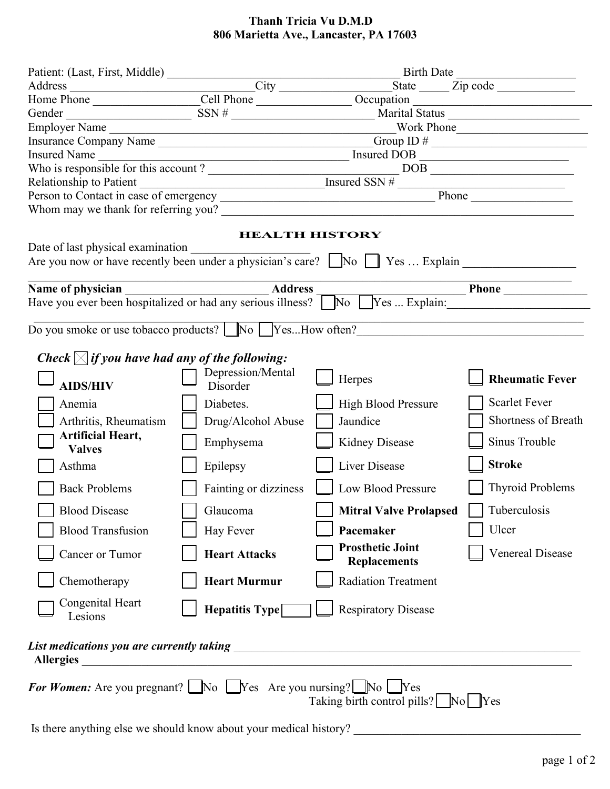## **Thanh Tricia Vu D.M.D 806 Marietta Ave., Lancaster, PA 17603**

|                                                                                                                                         |                       | Patient: (Last, First, Middle)<br>Address<br>Home Phone Cell Phone Cell Phone Cell Phone Cell Phone Cell Phone Cell Phone Cell Phone Cell Phone Cell Phone Cell Phone Cell Phone Cell Phone Cell Phone Cell Phone Cell Phone Cell P          |                         |  |
|-----------------------------------------------------------------------------------------------------------------------------------------|-----------------------|----------------------------------------------------------------------------------------------------------------------------------------------------------------------------------------------------------------------------------------------|-------------------------|--|
|                                                                                                                                         |                       |                                                                                                                                                                                                                                              |                         |  |
|                                                                                                                                         |                       |                                                                                                                                                                                                                                              |                         |  |
| Employer Name                                                                                                                           |                       |                                                                                                                                                                                                                                              | Vork Phone              |  |
|                                                                                                                                         |                       |                                                                                                                                                                                                                                              |                         |  |
|                                                                                                                                         |                       |                                                                                                                                                                                                                                              |                         |  |
|                                                                                                                                         |                       |                                                                                                                                                                                                                                              |                         |  |
|                                                                                                                                         |                       | Insured Name<br>Who is responsible for this account?<br>Relationship to Patient<br>Person to Contact in case of emergency<br>This is a set of emergency<br>This is a set of emergency<br>This is a set of emergency<br>This is a set of emer |                         |  |
|                                                                                                                                         |                       |                                                                                                                                                                                                                                              |                         |  |
|                                                                                                                                         |                       |                                                                                                                                                                                                                                              |                         |  |
|                                                                                                                                         |                       | <b>HEALTH HISTORY</b>                                                                                                                                                                                                                        |                         |  |
| Date of last physical examination                                                                                                       |                       | Are you now or have recently been under a physician's care? No S Yes  Explain                                                                                                                                                                |                         |  |
|                                                                                                                                         |                       |                                                                                                                                                                                                                                              |                         |  |
|                                                                                                                                         |                       | Name of physician<br>Have you ever been hospitalized or had any serious illness?<br>$\frac{\text{Address}}{\text{No} \text{ } \boxed{\text{Yes} \dots \text{Explain:}}$                                                                      |                         |  |
|                                                                                                                                         |                       |                                                                                                                                                                                                                                              |                         |  |
|                                                                                                                                         |                       | Do you smoke or use tobacco products? No SesHow often?                                                                                                                                                                                       |                         |  |
| Check $\boxtimes$ if you have had any of the following:                                                                                 |                       |                                                                                                                                                                                                                                              |                         |  |
|                                                                                                                                         | Depression/Mental     | Herpes                                                                                                                                                                                                                                       | <b>Rheumatic Fever</b>  |  |
| <b>AIDS/HIV</b>                                                                                                                         | Disorder              |                                                                                                                                                                                                                                              |                         |  |
| Anemia                                                                                                                                  | Diabetes.             | <b>High Blood Pressure</b>                                                                                                                                                                                                                   | <b>Scarlet Fever</b>    |  |
| Arthritis, Rheumatism                                                                                                                   | Drug/Alcohol Abuse    | Jaundice                                                                                                                                                                                                                                     | Shortness of Breath     |  |
| <b>Artificial Heart,</b>                                                                                                                |                       |                                                                                                                                                                                                                                              | Sinus Trouble           |  |
| <b>Valves</b>                                                                                                                           | Emphysema             | Kidney Disease                                                                                                                                                                                                                               |                         |  |
| Asthma                                                                                                                                  | Epilepsy              | Liver Disease                                                                                                                                                                                                                                | <b>Stroke</b>           |  |
| <b>Back Problems</b>                                                                                                                    | Fainting or dizziness | Low Blood Pressure                                                                                                                                                                                                                           | <b>Thyroid Problems</b> |  |
| <b>Blood Disease</b>                                                                                                                    | Glaucoma              | Mitral Valve Prolapsed Tuberculosis                                                                                                                                                                                                          |                         |  |
| <b>Blood Transfusion</b>                                                                                                                | Hay Fever             | Pacemaker                                                                                                                                                                                                                                    | Ulcer                   |  |
| Cancer or Tumor                                                                                                                         | <b>Heart Attacks</b>  | <b>Prosthetic Joint</b><br><b>Replacements</b>                                                                                                                                                                                               | <b>Venereal Disease</b> |  |
| Chemotherapy                                                                                                                            | <b>Heart Murmur</b>   | <b>Radiation Treatment</b>                                                                                                                                                                                                                   |                         |  |
| Congenital Heart<br>Lesions                                                                                                             | Hepatitis Type        | <b>Respiratory Disease</b>                                                                                                                                                                                                                   |                         |  |
| <b>Allergies</b>                                                                                                                        |                       |                                                                                                                                                                                                                                              |                         |  |
| <b>For Women:</b> Are you pregnant? $\Box$ No $\Box$ Yes Are you nursing? $\Box$ No $\Box$ Yes<br>Taking birth control pills? No No Nes |                       |                                                                                                                                                                                                                                              |                         |  |
| Is there anything else we should know about your medical history?                                                                       |                       |                                                                                                                                                                                                                                              |                         |  |